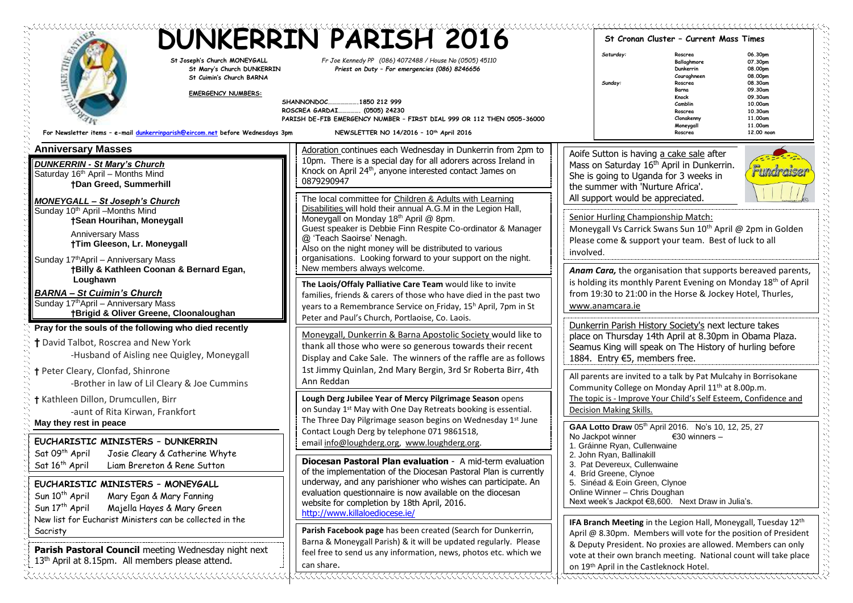| St Joseph's Church MONEYGALL<br>St Mary's Church DUNKERRIN                                                                                                                                                                                                      | <b>DUNKERRIN PARISH 2016</b><br>Fr Joe Kennedy PP (086) 4072488 / House No (0505) 45110<br>Priest on Duty - For emergencies (086) 8246656<br>SHANNONDOC<br>.1850 212 999<br>ROSCREA GARDAI<br>(0505) 24230<br>PARISH DE-FIB EMERGENCY NUMBER - FIRST DIAL 999 OR 112 THEN 0505-36000<br>NEWSLETTER NO 14/2016 - 10th April 2016                                                                                                    |                                                                                                                                                | St Cronan Cluster - Current Mass Times<br>06.30pm<br>Saturday:<br>Roscrea<br>Ballaghmore<br>07.30pm                                                                                                                                                                                                                                                                                                                                                                                                                                                                                                                                                                                                                                                                                                                                                                                                                                                                                                                                                                                                                                                                                                                                                                                         |                                                                                                                                                                                                                                    |  |
|-----------------------------------------------------------------------------------------------------------------------------------------------------------------------------------------------------------------------------------------------------------------|------------------------------------------------------------------------------------------------------------------------------------------------------------------------------------------------------------------------------------------------------------------------------------------------------------------------------------------------------------------------------------------------------------------------------------|------------------------------------------------------------------------------------------------------------------------------------------------|---------------------------------------------------------------------------------------------------------------------------------------------------------------------------------------------------------------------------------------------------------------------------------------------------------------------------------------------------------------------------------------------------------------------------------------------------------------------------------------------------------------------------------------------------------------------------------------------------------------------------------------------------------------------------------------------------------------------------------------------------------------------------------------------------------------------------------------------------------------------------------------------------------------------------------------------------------------------------------------------------------------------------------------------------------------------------------------------------------------------------------------------------------------------------------------------------------------------------------------------------------------------------------------------|------------------------------------------------------------------------------------------------------------------------------------------------------------------------------------------------------------------------------------|--|
| St Cuimin's Church BARNA<br><b>EMERGENCY NUMBERS:</b><br>For Newsletter items - e-mail dunkerrinparish@eircom.net before Wednesdays 3pm                                                                                                                         |                                                                                                                                                                                                                                                                                                                                                                                                                                    |                                                                                                                                                | Sunday:                                                                                                                                                                                                                                                                                                                                                                                                                                                                                                                                                                                                                                                                                                                                                                                                                                                                                                                                                                                                                                                                                                                                                                                                                                                                                     | 08.00pm<br>Dunkerrin<br>08.00pm<br>Couraghneen<br>08.30am<br>Roscrea<br>09.30am<br>Barna<br>Knock<br>09.30am<br>Camblin<br>10,00am<br>Roscrea<br>10.30am<br>Clonakenny<br>11.00am<br>Moneygall<br>11.00am<br>Roscrea<br>12,00 noon |  |
| <b>Anniversary Masses</b><br><b>DUNKERRIN - St Mary's Church</b><br>Saturday 16th April - Months Mind<br><b>†Dan Greed, Summerhill</b>                                                                                                                          | Adoration continues each Wednesday in Dunkerrin from 2pm to<br>10pm. There is a special day for all adorers across Ireland in<br>Knock on April 24 <sup>th</sup> , anyone interested contact James on<br>0879290947                                                                                                                                                                                                                |                                                                                                                                                | Aoife Sutton is having a cake sale after<br>Mass on Saturday 16 <sup>th</sup> April in Dunkerrin.<br><u>Fundraiser</u><br>She is going to Uganda for 3 weeks in<br>the summer with 'Nurture Africa'.<br>All support would be appreciated.<br>Senior Hurling Championship Match:<br>Moneygall Vs Carrick Swans Sun 10 <sup>th</sup> April @ 2pm in Golden<br>Please come & support your team. Best of luck to all<br>involved.<br>Anam Cara, the organisation that supports bereaved parents,<br>is holding its monthly Parent Evening on Monday 18th of April<br>from 19:30 to 21:00 in the Horse & Jockey Hotel, Thurles,<br>www.anamcara.ie<br>Dunkerrin Parish History Society's next lecture takes<br>place on Thursday 14th April at 8.30pm in Obama Plaza.<br>Seamus King will speak on The History of hurling before<br>1884. Entry €5, members free.<br>All parents are invited to a talk by Pat Mulcahy in Borrisokane<br>Community College on Monday April 11 <sup>th</sup> at 8.00p.m.<br>The topic is - Improve Your Child's Self Esteem, Confidence and<br>Decision Making Skills.<br>GAA Lotto Draw 05th April 2016. No's 10, 12, 25, 27<br>No Jackpot winner<br>€30 winners $-$<br>1. Gráinne Ryan, Cullenwaine<br>2. John Ryan, Ballinakill<br>3. Pat Devereux, Cullenwaine |                                                                                                                                                                                                                                    |  |
| <b>MONEYGALL - St Joseph's Church</b><br>Sunday 10 <sup>th</sup> April - Months Mind<br>†Sean Hourihan, Moneygall<br><b>Anniversary Mass</b><br>†Tim Gleeson, Lr. Moneygall<br>Sunday 17th April - Anniversary Mass<br>†Billy & Kathleen Coonan & Bernard Egan, | The local committee for Children & Adults with Learning<br>Disabilities will hold their annual A.G.M in the Legion Hall,<br>Moneygall on Monday 18 <sup>th</sup> April @ 8pm.<br>Guest speaker is Debbie Finn Respite Co-ordinator & Manager<br>@ 'Teach Saoirse' Nenagh.<br>Also on the night money will be distributed to various<br>organisations. Looking forward to your support on the night.<br>New members always welcome. |                                                                                                                                                |                                                                                                                                                                                                                                                                                                                                                                                                                                                                                                                                                                                                                                                                                                                                                                                                                                                                                                                                                                                                                                                                                                                                                                                                                                                                                             |                                                                                                                                                                                                                                    |  |
| Loughawn<br><b>BARNA - St Cuimin's Church</b><br>Sunday 17 <sup>th</sup> April - Anniversary Mass<br>†Brigid & Oliver Greene, Cloonaloughan                                                                                                                     | The Laois/Offaly Palliative Care Team would like to invite<br>families, friends & carers of those who have died in the past two<br>years to a Remembrance Service on Friday, 15 <sup>h</sup> April, 7pm in St<br>Peter and Paul's Church, Portlaoise, Co. Laois.                                                                                                                                                                   |                                                                                                                                                |                                                                                                                                                                                                                                                                                                                                                                                                                                                                                                                                                                                                                                                                                                                                                                                                                                                                                                                                                                                                                                                                                                                                                                                                                                                                                             |                                                                                                                                                                                                                                    |  |
| Pray for the souls of the following who died recently<br>† David Talbot, Roscrea and New York<br>-Husband of Aisling nee Quigley, Moneygall<br>† Peter Cleary, Clonfad, Shinrone                                                                                | Moneygall, Dunkerrin & Barna Apostolic Society would like to<br>thank all those who were so generous towards their recent<br>Display and Cake Sale. The winners of the raffle are as follows<br>1st Jimmy Quinlan, 2nd Mary Bergin, 3rd Sr Roberta Birr, 4th                                                                                                                                                                       |                                                                                                                                                |                                                                                                                                                                                                                                                                                                                                                                                                                                                                                                                                                                                                                                                                                                                                                                                                                                                                                                                                                                                                                                                                                                                                                                                                                                                                                             |                                                                                                                                                                                                                                    |  |
| -Brother in law of Lil Cleary & Joe Cummins<br>† Kathleen Dillon, Drumcullen, Birr<br>-aunt of Rita Kirwan, Frankfort<br>May they rest in peace                                                                                                                 | Ann Reddan<br>Lough Derg Jubilee Year of Mercy Pilgrimage Season opens<br>on Sunday 1st May with One Day Retreats booking is essential.<br>The Three Day Pilgrimage season begins on Wednesday 1st June                                                                                                                                                                                                                            |                                                                                                                                                |                                                                                                                                                                                                                                                                                                                                                                                                                                                                                                                                                                                                                                                                                                                                                                                                                                                                                                                                                                                                                                                                                                                                                                                                                                                                                             |                                                                                                                                                                                                                                    |  |
| EUCHARISTIC MINISTERS - DUNKERRIN<br>Sat 09 <sup>th</sup> April<br>Josie Cleary & Catherine Whyte<br>Sat 16 <sup>th</sup> April<br>Liam Brereton & Rene Sutton                                                                                                  | Contact Lough Derg by telephone 071 9861518,<br>email info@loughderg.org, www.loughderg.org.<br>Diocesan Pastoral Plan evaluation - A mid-term evaluation<br>of the implementation of the Diocesan Pastoral Plan is currently                                                                                                                                                                                                      |                                                                                                                                                |                                                                                                                                                                                                                                                                                                                                                                                                                                                                                                                                                                                                                                                                                                                                                                                                                                                                                                                                                                                                                                                                                                                                                                                                                                                                                             |                                                                                                                                                                                                                                    |  |
| EUCHARISTIC MINISTERS - MONEYGALL<br>Sun 10 <sup>th</sup> April<br>Mary Egan & Mary Fanning<br>Sun 17 <sup>th</sup> April<br>Majella Hayes & Mary Green<br>New list for Eucharist Ministers can be collected in the                                             | underway, and any parishioner who wishes can participate. An<br>evaluation questionnaire is now available on the diocesan<br>website for completion by 18th April, 2016.<br>http://www.killaloediocese.ie/                                                                                                                                                                                                                         | 4. Bríd Greene, Clynoe<br>5. Sinéad & Eoin Green, Clynoe<br>Online Winner - Chris Doughan<br>Next week's Jackpot €8,600. Next Draw in Julia's. |                                                                                                                                                                                                                                                                                                                                                                                                                                                                                                                                                                                                                                                                                                                                                                                                                                                                                                                                                                                                                                                                                                                                                                                                                                                                                             |                                                                                                                                                                                                                                    |  |
| Sacristy<br>Parish Pastoral Council meeting Wednesday night next<br>13th April at 8.15pm. All members please attend.                                                                                                                                            | Parish Facebook page has been created (Search for Dunkerrin,<br>Barna & Moneygall Parish) & it will be updated regularly. Please<br>feel free to send us any information, news, photos etc. which we<br>can share.                                                                                                                                                                                                                 |                                                                                                                                                | IFA Branch Meeting in the Legion Hall, Moneygall, Tuesday 12 <sup>th</sup><br>April @ 8.30pm. Members will vote for the position of President<br>& Deputy President. No proxies are allowed. Members can only<br>vote at their own branch meeting. National count will take place<br>on 19th April in the Castleknock Hotel.                                                                                                                                                                                                                                                                                                                                                                                                                                                                                                                                                                                                                                                                                                                                                                                                                                                                                                                                                                |                                                                                                                                                                                                                                    |  |